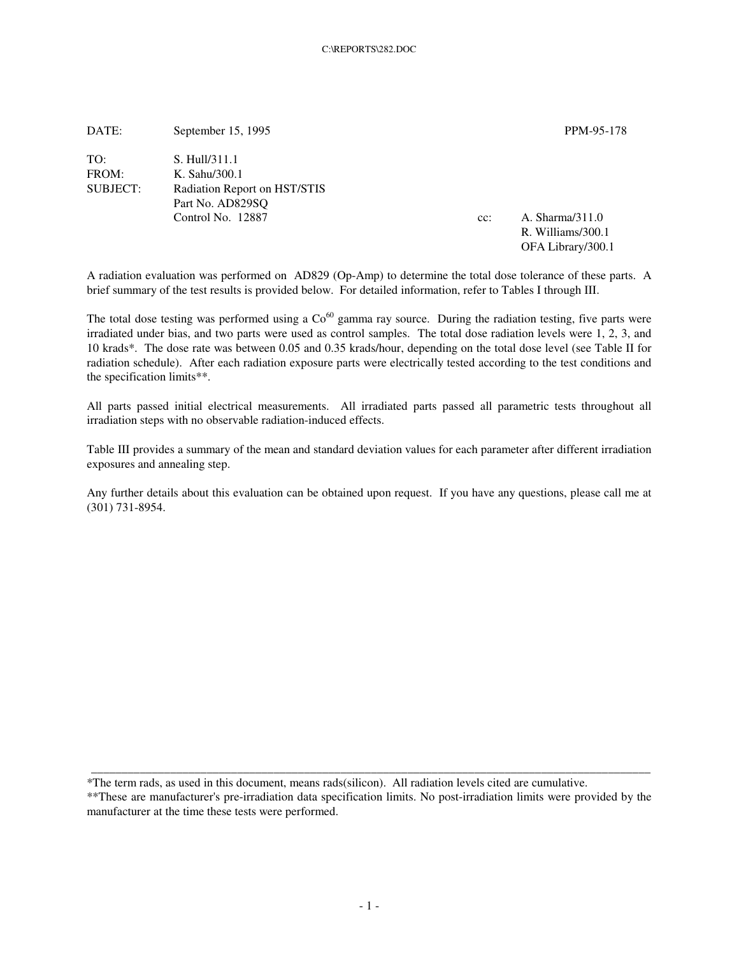| DATE:           | September 15, 1995           |        | PPM-95-178        |
|-----------------|------------------------------|--------|-------------------|
| TO:             | S. Hull/311.1                |        |                   |
| FROM:           | K. Sahu/300.1                |        |                   |
| <b>SUBJECT:</b> | Radiation Report on HST/STIS |        |                   |
|                 | Part No. AD829SO             |        |                   |
|                 | Control No. 12887            | $cc$ : | A. Sharma/311.0   |
|                 |                              |        | R. Williams/300.1 |
|                 |                              |        | OFA Library/300.1 |

A radiation evaluation was performed on AD829 (Op-Amp) to determine the total dose tolerance of these parts. A brief summary of the test results is provided below. For detailed information, refer to Tables I through III.

The total dose testing was performed using a  $Co<sup>60</sup>$  gamma ray source. During the radiation testing, five parts were irradiated under bias, and two parts were used as control samples. The total dose radiation levels were 1, 2, 3, and 10 krads\*. The dose rate was between 0.05 and 0.35 krads/hour, depending on the total dose level (see Table II for radiation schedule). After each radiation exposure parts were electrically tested according to the test conditions and the specification limits\*\*.

All parts passed initial electrical measurements. All irradiated parts passed all parametric tests throughout all irradiation steps with no observable radiation-induced effects.

Table III provides a summary of the mean and standard deviation values for each parameter after different irradiation exposures and annealing step.

Any further details about this evaluation can be obtained upon request. If you have any questions, please call me at (301) 731-8954.

\*The term rads, as used in this document, means rads(silicon). All radiation levels cited are cumulative.

\*\*These are manufacturer's pre-irradiation data specification limits. No post-irradiation limits were provided by the manufacturer at the time these tests were performed.

\_\_\_\_\_\_\_\_\_\_\_\_\_\_\_\_\_\_\_\_\_\_\_\_\_\_\_\_\_\_\_\_\_\_\_\_\_\_\_\_\_\_\_\_\_\_\_\_\_\_\_\_\_\_\_\_\_\_\_\_\_\_\_\_\_\_\_\_\_\_\_\_\_\_\_\_\_\_\_\_\_\_\_\_\_\_\_\_\_\_\_\_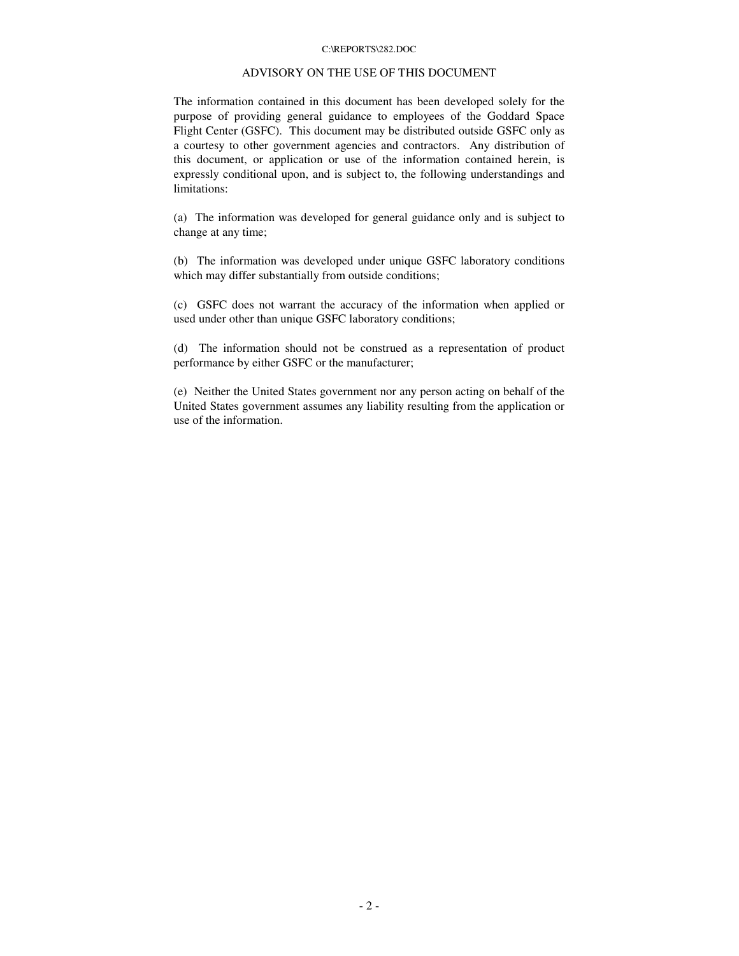#### C:\REPORTS\282.DOC

## ADVISORY ON THE USE OF THIS DOCUMENT

The information contained in this document has been developed solely for the purpose of providing general guidance to employees of the Goddard Space Flight Center (GSFC). This document may be distributed outside GSFC only as a courtesy to other government agencies and contractors. Any distribution of this document, or application or use of the information contained herein, is expressly conditional upon, and is subject to, the following understandings and limitations:

(a) The information was developed for general guidance only and is subject to change at any time;

(b) The information was developed under unique GSFC laboratory conditions which may differ substantially from outside conditions;

(c) GSFC does not warrant the accuracy of the information when applied or used under other than unique GSFC laboratory conditions;

(d) The information should not be construed as a representation of product performance by either GSFC or the manufacturer;

(e) Neither the United States government nor any person acting on behalf of the United States government assumes any liability resulting from the application or use of the information.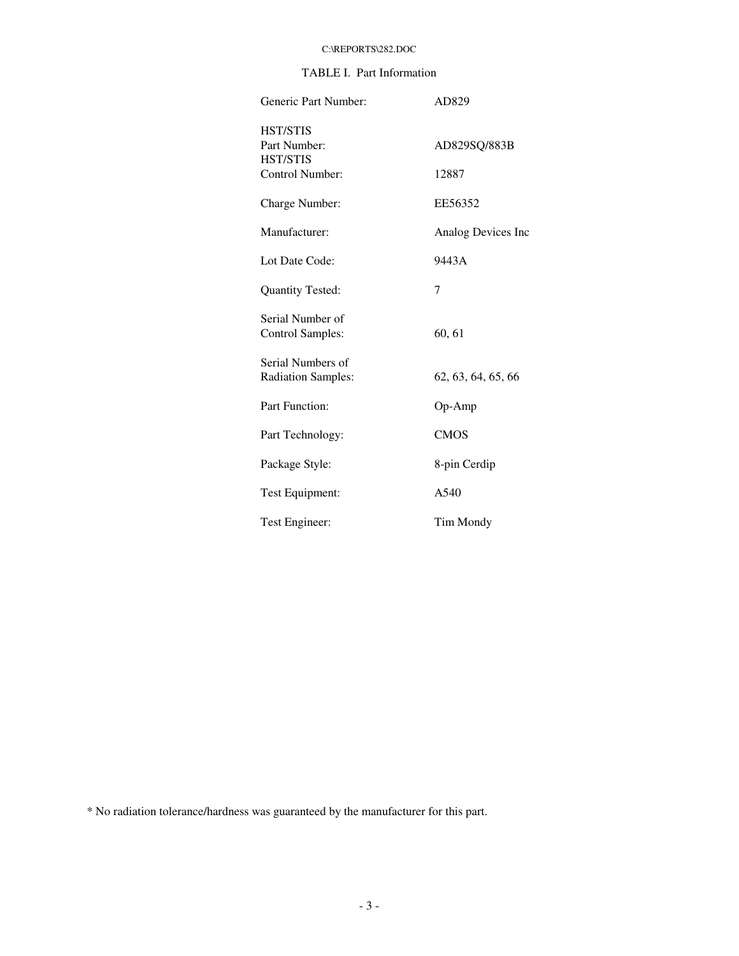# C:\REPORTS\282.DOC

# TABLE I. Part Information

| Generic Part Number:                               | AD829              |  |  |  |  |  |
|----------------------------------------------------|--------------------|--|--|--|--|--|
| <b>HST/STIS</b><br>Part Number:<br><b>HST/STIS</b> | AD829SQ/883B       |  |  |  |  |  |
| Control Number:                                    | 12887              |  |  |  |  |  |
| Charge Number:                                     | EE56352            |  |  |  |  |  |
| Manufacturer:                                      | Analog Devices Inc |  |  |  |  |  |
| Lot Date Code:                                     | 9443A              |  |  |  |  |  |
| <b>Quantity Tested:</b>                            | 7                  |  |  |  |  |  |
| Serial Number of<br><b>Control Samples:</b>        | 60, 61             |  |  |  |  |  |
| Serial Numbers of<br><b>Radiation Samples:</b>     | 62, 63, 64, 65, 66 |  |  |  |  |  |
| Part Function:                                     | $Op-Amp$           |  |  |  |  |  |
| Part Technology:                                   | <b>CMOS</b>        |  |  |  |  |  |
| Package Style:                                     | 8-pin Cerdip       |  |  |  |  |  |
| Test Equipment:                                    | A540               |  |  |  |  |  |
| Test Engineer:                                     | Tim Mondy          |  |  |  |  |  |

\* No radiation tolerance/hardness was guaranteed by the manufacturer for this part.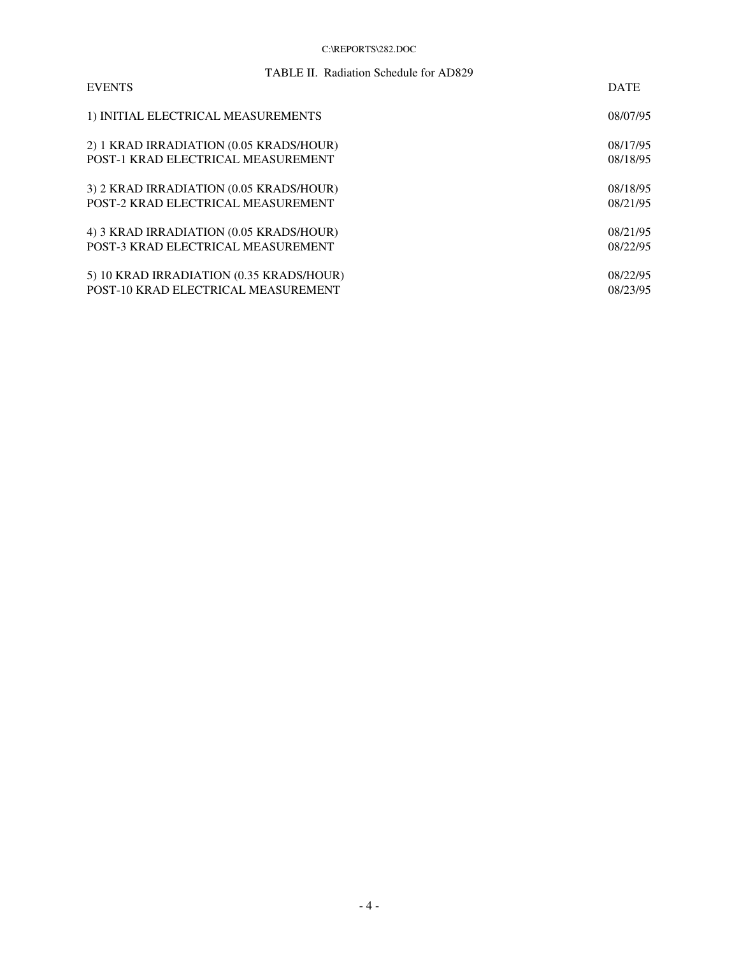### C:\REPORTS\282.DOC

| TABLE II. Radiation Schedule for AD829   |             |
|------------------------------------------|-------------|
| <b>EVENTS</b>                            | <b>DATE</b> |
| 1) INITIAL ELECTRICAL MEASUREMENTS       | 08/07/95    |
| 2) 1 KRAD IRRADIATION (0.05 KRADS/HOUR)  | 08/17/95    |
| POST-1 KRAD ELECTRICAL MEASUREMENT       | 08/18/95    |
| 3) 2 KRAD IRRADIATION (0.05 KRADS/HOUR)  | 08/18/95    |
| POST-2 KRAD ELECTRICAL MEASUREMENT       | 08/21/95    |
| 4) 3 KRAD IRRADIATION (0.05 KRADS/HOUR)  | 08/21/95    |
| POST-3 KRAD ELECTRICAL MEASUREMENT       | 08/22/95    |
| 5) 10 KRAD IRRADIATION (0.35 KRADS/HOUR) | 08/22/95    |
| POST-10 KRAD ELECTRICAL MEASUREMENT      | 08/23/95    |